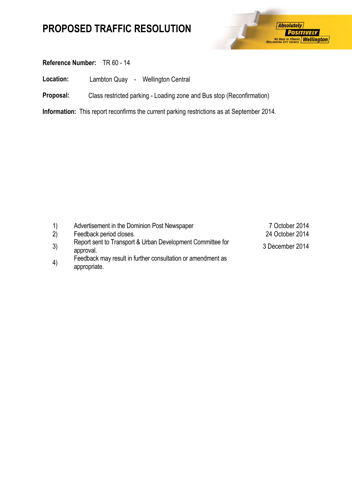

### **Reference Number:** TR 60 - 14

**Location:** Lambton Quay - Wellington Central

**Proposal:** Class restricted parking - Loading zone and Bus stop (Reconfirmation)

**Information:** This report reconfirms the current parking restrictions as at September 2014.

| $\left( \begin{matrix} 1 \end{matrix} \right)$ | Advertisement in the Dominion Post Newspaper                                | 7 October 2014  |
|------------------------------------------------|-----------------------------------------------------------------------------|-----------------|
| (2)                                            | Feedback period closes.                                                     | 24 October 2014 |
| 3)                                             | Report sent to Transport & Urban Development Committee for<br>approval.     | 3 December 2014 |
| 4)                                             | Feedback may result in further consultation or amendment as<br>appropriate. |                 |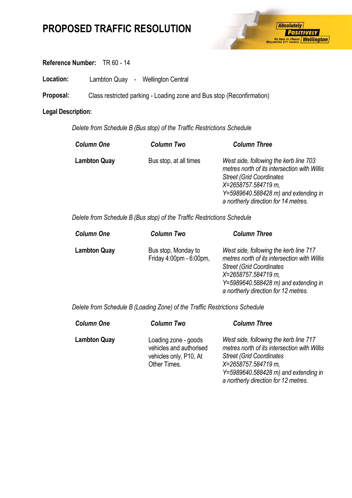

### **Reference Number:** TR 60 - 14

Location: Lambton Quay - Wellington Central

**Proposal:** Class restricted parking - Loading zone and Bus stop (Reconfirmation)

#### **Legal Description:**

*Delete from Schedule B (Bus stop) of the Traffic Restrictions Schedule* 

| <b>Column Two</b>      | <b>Column Three</b>                                                                                                                                                                                                                 |
|------------------------|-------------------------------------------------------------------------------------------------------------------------------------------------------------------------------------------------------------------------------------|
| Bus stop, at all times | West side, following the kerb line 703<br>metres north of its intersection with Willis<br><b>Street (Grid Coordinates)</b><br>X=2658757.584719 m,<br>$Y=5989640.588428$ m) and extending in<br>a northerly direction for 14 metres. |
|                        |                                                                                                                                                                                                                                     |

*Delete from Schedule B (Bus stop) of the Traffic Restrictions Schedule* 

| <b>Column One</b>   | <b>Column Two</b>                              | <b>Column Three</b>                                                                                                                                                                                                                 |
|---------------------|------------------------------------------------|-------------------------------------------------------------------------------------------------------------------------------------------------------------------------------------------------------------------------------------|
| <b>Lambton Quay</b> | Bus stop, Monday to<br>Friday 4:00pm - 6:00pm, | West side, following the kerb line 717<br>metres north of its intersection with Willis<br><b>Street (Grid Coordinates)</b><br>X=2658757.584719 m,<br>$Y=5989640.588428$ m) and extending in<br>a northerly direction for 12 metres. |

*Delete from Schedule B (Loading Zone) of the Traffic Restrictions Schedule* 

| <b>Column One</b>   | <b>Column Two</b>                                                                         | <b>Column Three</b>                                                                                                                                                                                                                 |
|---------------------|-------------------------------------------------------------------------------------------|-------------------------------------------------------------------------------------------------------------------------------------------------------------------------------------------------------------------------------------|
| <b>Lambton Quay</b> | Loading zone - goods<br>vehicles and authorised<br>vehicles only, P10, At<br>Other Times. | West side, following the kerb line 717<br>metres north of its intersection with Willis<br><b>Street (Grid Coordinates)</b><br>X=2658757.584719 m,<br>$Y=5989640.588428$ m) and extending in<br>a northerly direction for 12 metres. |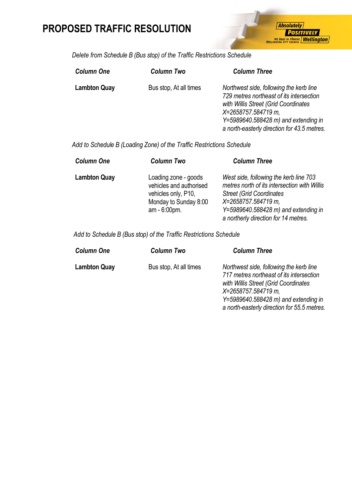

*Delete from Schedule B (Bus stop) of the Traffic Restrictions Schedule* 

| <b>Column One</b>   | <b>Column Two</b>      | <b>Column Three</b>                                                                                                                                                                                                                         |
|---------------------|------------------------|---------------------------------------------------------------------------------------------------------------------------------------------------------------------------------------------------------------------------------------------|
| <b>Lambton Quay</b> | Bus stop, At all times | Northwest side, following the kerb line<br>729 metres northeast of its intersection<br>with Willis Street (Grid Coordinates<br>X=2658757.584719 m,<br>$Y=5989640.588428$ m) and extending in<br>a north-easterly direction for 43.5 metres. |

*Add to Schedule B (Loading Zone) of the Traffic Restrictions Schedule* 

| <b>Column One</b>   | <b>Column Two</b>                                                                                               | <b>Column Three</b>                                                                                                                                                                                                               |
|---------------------|-----------------------------------------------------------------------------------------------------------------|-----------------------------------------------------------------------------------------------------------------------------------------------------------------------------------------------------------------------------------|
| <b>Lambton Quay</b> | Loading zone - goods<br>vehicles and authorised<br>vehicles only, P10,<br>Monday to Sunday 8:00<br>am - 6:00pm. | West side, following the kerb line 703<br>metres north of its intersection with Willis<br><b>Street (Grid Coordinates)</b><br>X=2658757.584719 m,<br>Y=5989640.588428 m) and extending in<br>a northerly direction for 14 metres. |

 *Add to Schedule B (Bus stop) of the Traffic Restrictions Schedule* 

| <b>Column One</b>   | <b>Column Two</b>      | <b>Column Three</b>                                                                                                                                |
|---------------------|------------------------|----------------------------------------------------------------------------------------------------------------------------------------------------|
| <b>Lambton Quay</b> | Bus stop, At all times | Northwest side, following the kerb line<br>717 metres northeast of its intersection<br>with Willis Street (Grid Coordinates<br>X=2658757.584719 m, |
|                     |                        | $Y=5989640.588428$ m) and extending in<br>a north-easterly direction for 55.5 metres.                                                              |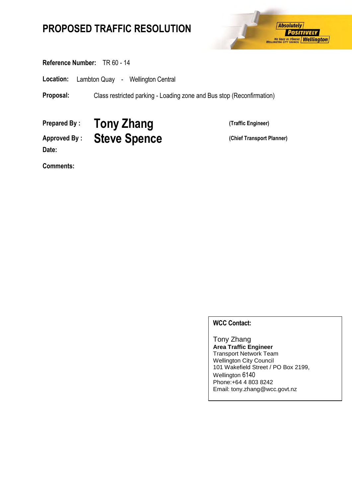

#### **Reference Number:** TR 60 - 14

**Location:** Lambton Quay - Wellington Central

**Proposal:** Class restricted parking - Loading zone and Bus stop (Reconfirmation)

**Prepared By : Tony Zhang (Traffic Engineer)**

**Date:**

Approved By : **Steve Spence** (Chief Transport Planner)

**Comments:**

#### **WCC Contact:**

Tony Zhang **Area Traffic Engineer** Transport Network Team Wellington City Council 101 Wakefield Street / PO Box 2199, Wellington 6140 Phone:+64 4 803 8242 Email: tony.zhang@wcc.govt.nz